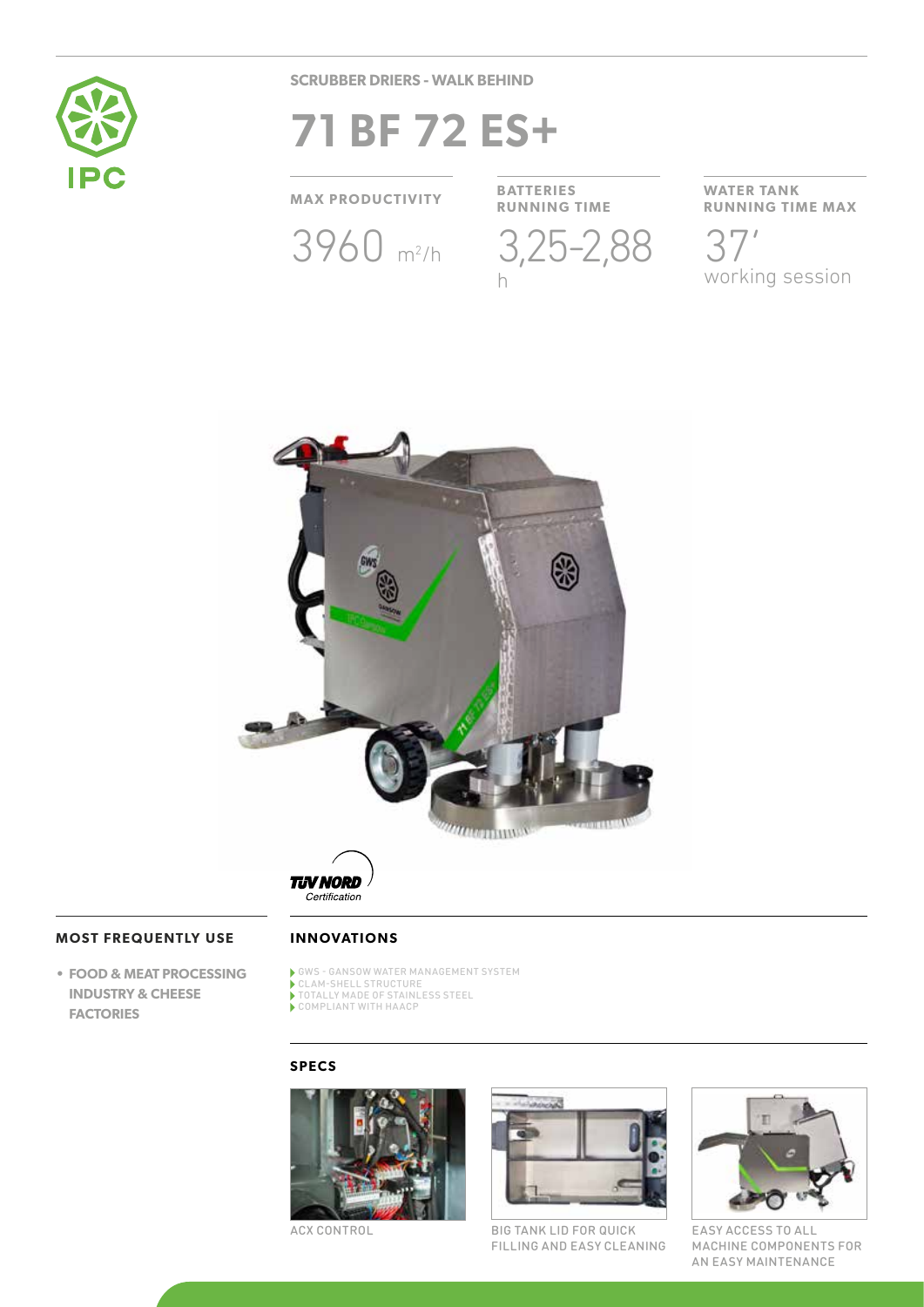

**SCRUBBER DRIERS - WALK BEHIND**

# **71 BF 72 ES+**

**MAX PRODUCTIVITY BATTERIES**

3960 m<sup>2</sup>/h 3,25-2,88

**RUNNING TIME** h

**WATER TANK RUNNING TIME MAX** 37'

working session



**TJV NORD** Certification

# **MOST FREQUENTLY USE**

**• FOOD & MEAT PROCESSING INDUSTRY & CHEESE FACTORIES**

# **INNOVATIONS**

- GWS GANSOW WATER MANAGEMENT SYSTEM
- CLAM-SHELL STRUCTURE TOTALLY MADE OF STAINLESS STEEL
- COMPLIANT WITH HAACP

# **SPECS**



ACX CONTROL



BIG TANK LID FOR QUICK FILLING AND EASY CLEANING



EASY ACCESS TO ALL MACHINE COMPONENTS FOR AN EASY MAINTENANCE